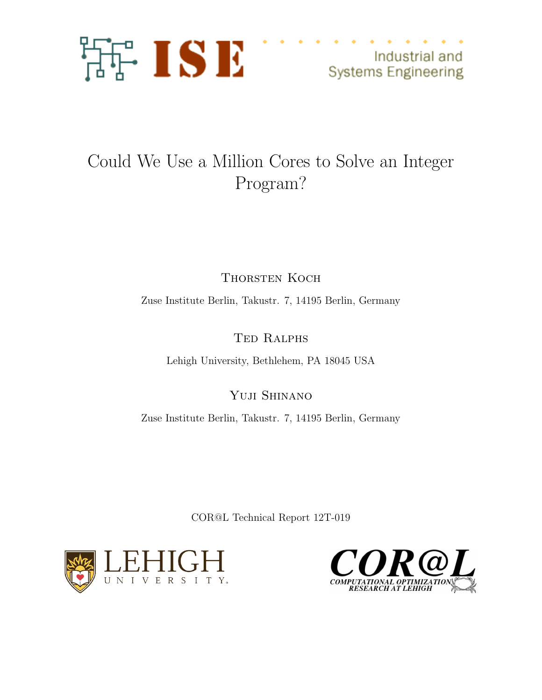

# Could We Use a Million Cores to Solve an Integer Program?

THORSTEN KOCH

Zuse Institute Berlin, Takustr. 7, 14195 Berlin, Germany

Ted Ralphs

Lehigh University, Bethlehem, PA 18045 USA

Yuji Shinano

Zuse Institute Berlin, Takustr. 7, 14195 Berlin, Germany

COR@L Technical Report 12T-019



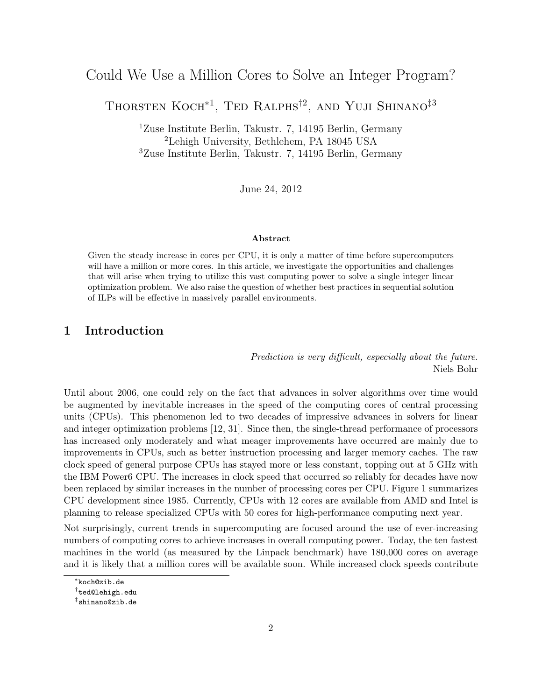# Could We Use a Million Cores to Solve an Integer Program?

Thorsten Koch<sup>\*1</sup>, Ted Ralphs<sup>†2</sup>, and Yuji Shinano<sup>‡3</sup>

<sup>1</sup>Zuse Institute Berlin, Takustr. 7, 14195 Berlin, Germany <sup>2</sup>Lehigh University, Bethlehem, PA 18045 USA <sup>3</sup>Zuse Institute Berlin, Takustr. 7, 14195 Berlin, Germany

June 24, 2012

#### Abstract

Given the steady increase in cores per CPU, it is only a matter of time before supercomputers will have a million or more cores. In this article, we investigate the opportunities and challenges that will arise when trying to utilize this vast computing power to solve a single integer linear optimization problem. We also raise the question of whether best practices in sequential solution of ILPs will be effective in massively parallel environments.

## 1 Introduction

Prediction is very difficult, especially about the future. Niels Bohr

Until about 2006, one could rely on the fact that advances in solver algorithms over time would be augmented by inevitable increases in the speed of the computing cores of central processing units (CPUs). This phenomenon led to two decades of impressive advances in solvers for linear and integer optimization problems [12, 31]. Since then, the single-thread performance of processors has increased only moderately and what meager improvements have occurred are mainly due to improvements in CPUs, such as better instruction processing and larger memory caches. The raw clock speed of general purpose CPUs has stayed more or less constant, topping out at 5 GHz with the IBM Power6 CPU. The increases in clock speed that occurred so reliably for decades have now been replaced by similar increases in the number of processing cores per CPU. Figure 1 summarizes CPU development since 1985. Currently, CPUs with 12 cores are available from AMD and Intel is planning to release specialized CPUs with 50 cores for high-performance computing next year.

Not surprisingly, current trends in supercomputing are focused around the use of ever-increasing numbers of computing cores to achieve increases in overall computing power. Today, the ten fastest machines in the world (as measured by the Linpack benchmark) have 180,000 cores on average and it is likely that a million cores will be available soon. While increased clock speeds contribute

<sup>∗</sup> koch@zib.de

<sup>†</sup> ted@lehigh.edu

<sup>‡</sup> shinano@zib.de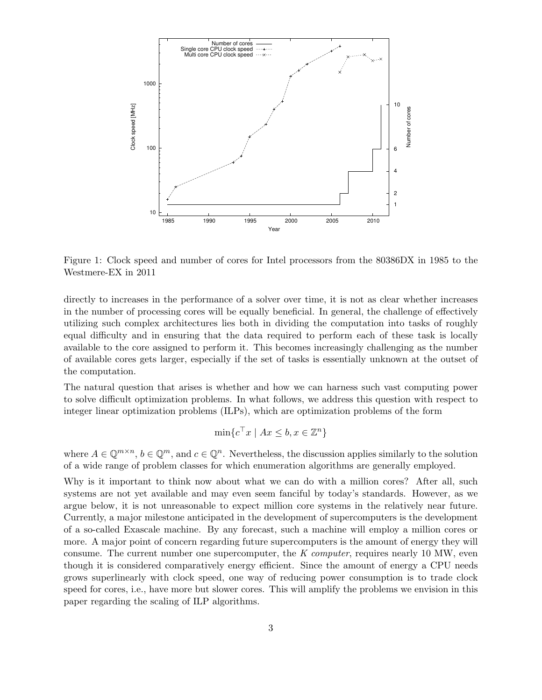

Figure 1: Clock speed and number of cores for Intel processors from the 80386DX in 1985 to the Westmere-EX in 2011

directly to increases in the performance of a solver over time, it is not as clear whether increases in the number of processing cores will be equally beneficial. In general, the challenge of effectively utilizing such complex architectures lies both in dividing the computation into tasks of roughly equal difficulty and in ensuring that the data required to perform each of these task is locally available to the core assigned to perform it. This becomes increasingly challenging as the number of available cores gets larger, especially if the set of tasks is essentially unknown at the outset of the computation.

The natural question that arises is whether and how we can harness such vast computing power to solve difficult optimization problems. In what follows, we address this question with respect to integer linear optimization problems (ILPs), which are optimization problems of the form

$$
\min \{ c^\top x \mid Ax \le b, x \in \mathbb{Z}^n \}
$$

where  $A \in \mathbb{Q}^{m \times n}$ ,  $b \in \mathbb{Q}^m$ , and  $c \in \mathbb{Q}^n$ . Nevertheless, the discussion applies similarly to the solution of a wide range of problem classes for which enumeration algorithms are generally employed.

Why is it important to think now about what we can do with a million cores? After all, such systems are not yet available and may even seem fanciful by today's standards. However, as we argue below, it is not unreasonable to expect million core systems in the relatively near future. Currently, a major milestone anticipated in the development of supercomputers is the development of a so-called Exascale machine. By any forecast, such a machine will employ a million cores or more. A major point of concern regarding future supercomputers is the amount of energy they will consume. The current number one supercomputer, the K computer, requires nearly 10 MW, even though it is considered comparatively energy efficient. Since the amount of energy a CPU needs grows superlinearly with clock speed, one way of reducing power consumption is to trade clock speed for cores, i.e., have more but slower cores. This will amplify the problems we envision in this paper regarding the scaling of ILP algorithms.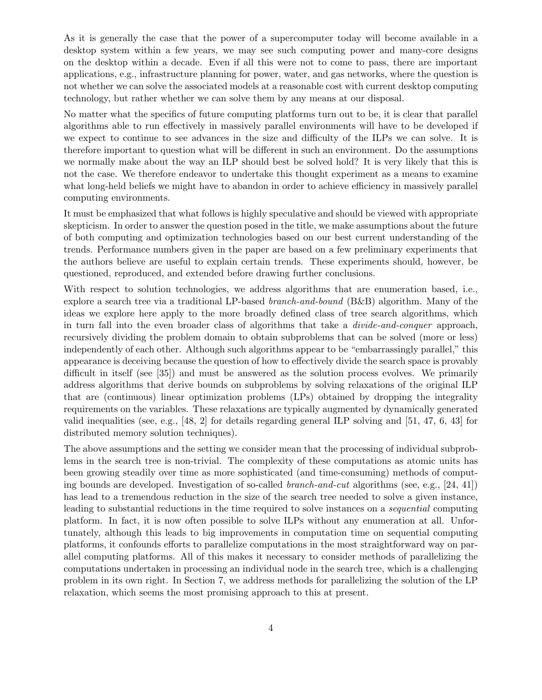As it is generally the case that the power of a supercomputer today will become available in a desktop system within a few years, we may see such computing power and many-core designs on the desktop within a decade. Even if all this were not to come to pass, there are important applications, e.g., infrastructure planning for power, water, and gas networks, where the question is not whether we can solve the associated models at a reasonable cost with current desktop computing technology, but rather whether we can solve them by any means at our disposal.

No matter what the specifics of future computing platforms turn out to be, it is clear that parallel algorithms able to run effectively in massively parallel environments will have to be developed if we expect to continue to see advances in the size and difficulty of the ILPs we can solve. It is therefore important to question what will be different in such an environment. Do the assumptions we normally make about the way an ILP should best be solved hold? It is very likely that this is not the case. We therefore endeavor to undertake this thought experiment as a means to examine what long-held beliefs we might have to abandon in order to achieve efficiency in massively parallel computing environments.

It must be emphasized that what follows is highly speculative and should be viewed with appropriate skepticism. In order to answer the question posed in the title, we make assumptions about the future of both computing and optimization technologies based on our best current understanding of the trends. Performance numbers given in the paper are based on a few preliminary experiments that the authors believe are useful to explain certain trends. These experiments should, however, be questioned, reproduced, and extended before drawing further conclusions.

With respect to solution technologies, we address algorithms that are enumeration based, i.e., explore a search tree via a traditional LP-based branch-and-bound (B&B) algorithm. Many of the ideas we explore here apply to the more broadly defined class of tree search algorithms, which in turn fall into the even broader class of algorithms that take a divide-and-conquer approach, recursively dividing the problem domain to obtain subproblems that can be solved (more or less) independently of each other. Although such algorithms appear to be "embarrassingly parallel," this appearance is deceiving because the question of how to effectively divide the search space is provably difficult in itself (see [35]) and must be answered as the solution process evolves. We primarily address algorithms that derive bounds on subproblems by solving relaxations of the original ILP that are (continuous) linear optimization problems (LPs) obtained by dropping the integrality requirements on the variables. These relaxations are typically augmented by dynamically generated valid inequalities (see, e.g., [48, 2] for details regarding general ILP solving and [51, 47, 6, 43] for distributed memory solution techniques).

The above assumptions and the setting we consider mean that the processing of individual subproblems in the search tree is non-trivial. The complexity of these computations as atomic units has been growing steadily over time as more sophisticated (and time-consuming) methods of computing bounds are developed. Investigation of so-called branch-and-cut algorithms (see, e.g., [24, 41]) has lead to a tremendous reduction in the size of the search tree needed to solve a given instance, leading to substantial reductions in the time required to solve instances on a *sequential* computing platform. In fact, it is now often possible to solve ILPs without any enumeration at all. Unfortunately, although this leads to big improvements in computation time on sequential computing platforms, it confounds efforts to parallelize computations in the most straightforward way on parallel computing platforms. All of this makes it necessary to consider methods of parallelizing the computations undertaken in processing an individual node in the search tree, which is a challenging problem in its own right. In Section 7, we address methods for parallelizing the solution of the LP relaxation, which seems the most promising approach to this at present.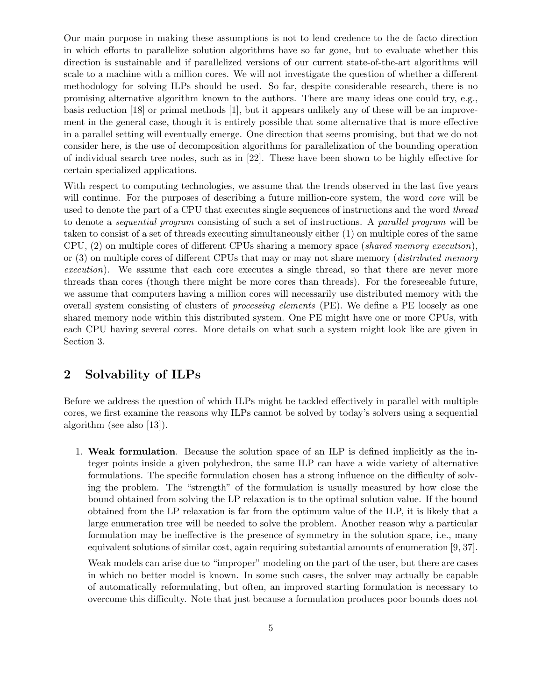Our main purpose in making these assumptions is not to lend credence to the de facto direction in which efforts to parallelize solution algorithms have so far gone, but to evaluate whether this direction is sustainable and if parallelized versions of our current state-of-the-art algorithms will scale to a machine with a million cores. We will not investigate the question of whether a different methodology for solving ILPs should be used. So far, despite considerable research, there is no promising alternative algorithm known to the authors. There are many ideas one could try, e.g., basis reduction [18] or primal methods [1], but it appears unlikely any of these will be an improvement in the general case, though it is entirely possible that some alternative that is more effective in a parallel setting will eventually emerge. One direction that seems promising, but that we do not consider here, is the use of decomposition algorithms for parallelization of the bounding operation of individual search tree nodes, such as in [22]. These have been shown to be highly effective for certain specialized applications.

With respect to computing technologies, we assume that the trends observed in the last five years will continue. For the purposes of describing a future million-core system, the word *core* will be used to denote the part of a CPU that executes single sequences of instructions and the word thread to denote a sequential program consisting of such a set of instructions. A parallel program will be taken to consist of a set of threads executing simultaneously either (1) on multiple cores of the same CPU, (2) on multiple cores of different CPUs sharing a memory space (shared memory execution), or (3) on multiple cores of different CPUs that may or may not share memory (*distributed memory* execution). We assume that each core executes a single thread, so that there are never more threads than cores (though there might be more cores than threads). For the foreseeable future, we assume that computers having a million cores will necessarily use distributed memory with the overall system consisting of clusters of processing elements (PE). We define a PE loosely as one shared memory node within this distributed system. One PE might have one or more CPUs, with each CPU having several cores. More details on what such a system might look like are given in Section 3.

## 2 Solvability of ILPs

Before we address the question of which ILPs might be tackled effectively in parallel with multiple cores, we first examine the reasons why ILPs cannot be solved by today's solvers using a sequential algorithm (see also [13]).

1. Weak formulation. Because the solution space of an ILP is defined implicitly as the integer points inside a given polyhedron, the same ILP can have a wide variety of alternative formulations. The specific formulation chosen has a strong influence on the difficulty of solving the problem. The "strength" of the formulation is usually measured by how close the bound obtained from solving the LP relaxation is to the optimal solution value. If the bound obtained from the LP relaxation is far from the optimum value of the ILP, it is likely that a large enumeration tree will be needed to solve the problem. Another reason why a particular formulation may be ineffective is the presence of symmetry in the solution space, i.e., many equivalent solutions of similar cost, again requiring substantial amounts of enumeration [9, 37].

Weak models can arise due to "improper" modeling on the part of the user, but there are cases in which no better model is known. In some such cases, the solver may actually be capable of automatically reformulating, but often, an improved starting formulation is necessary to overcome this difficulty. Note that just because a formulation produces poor bounds does not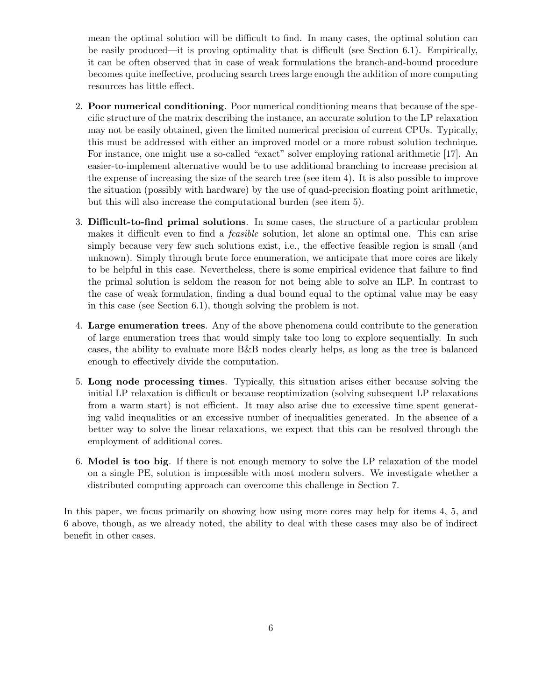mean the optimal solution will be difficult to find. In many cases, the optimal solution can be easily produced—it is proving optimality that is difficult (see Section 6.1). Empirically, it can be often observed that in case of weak formulations the branch-and-bound procedure becomes quite ineffective, producing search trees large enough the addition of more computing resources has little effect.

- 2. Poor numerical conditioning. Poor numerical conditioning means that because of the specific structure of the matrix describing the instance, an accurate solution to the LP relaxation may not be easily obtained, given the limited numerical precision of current CPUs. Typically, this must be addressed with either an improved model or a more robust solution technique. For instance, one might use a so-called "exact" solver employing rational arithmetic [17]. An easier-to-implement alternative would be to use additional branching to increase precision at the expense of increasing the size of the search tree (see item 4). It is also possible to improve the situation (possibly with hardware) by the use of quad-precision floating point arithmetic, but this will also increase the computational burden (see item 5).
- 3. Difficult-to-find primal solutions. In some cases, the structure of a particular problem makes it difficult even to find a *feasible* solution, let alone an optimal one. This can arise simply because very few such solutions exist, i.e., the effective feasible region is small (and unknown). Simply through brute force enumeration, we anticipate that more cores are likely to be helpful in this case. Nevertheless, there is some empirical evidence that failure to find the primal solution is seldom the reason for not being able to solve an ILP. In contrast to the case of weak formulation, finding a dual bound equal to the optimal value may be easy in this case (see Section 6.1), though solving the problem is not.
- 4. Large enumeration trees. Any of the above phenomena could contribute to the generation of large enumeration trees that would simply take too long to explore sequentially. In such cases, the ability to evaluate more B&B nodes clearly helps, as long as the tree is balanced enough to effectively divide the computation.
- 5. Long node processing times. Typically, this situation arises either because solving the initial LP relaxation is difficult or because reoptimization (solving subsequent LP relaxations from a warm start) is not efficient. It may also arise due to excessive time spent generating valid inequalities or an excessive number of inequalities generated. In the absence of a better way to solve the linear relaxations, we expect that this can be resolved through the employment of additional cores.
- 6. Model is too big. If there is not enough memory to solve the LP relaxation of the model on a single PE, solution is impossible with most modern solvers. We investigate whether a distributed computing approach can overcome this challenge in Section 7.

In this paper, we focus primarily on showing how using more cores may help for items 4, 5, and 6 above, though, as we already noted, the ability to deal with these cases may also be of indirect benefit in other cases.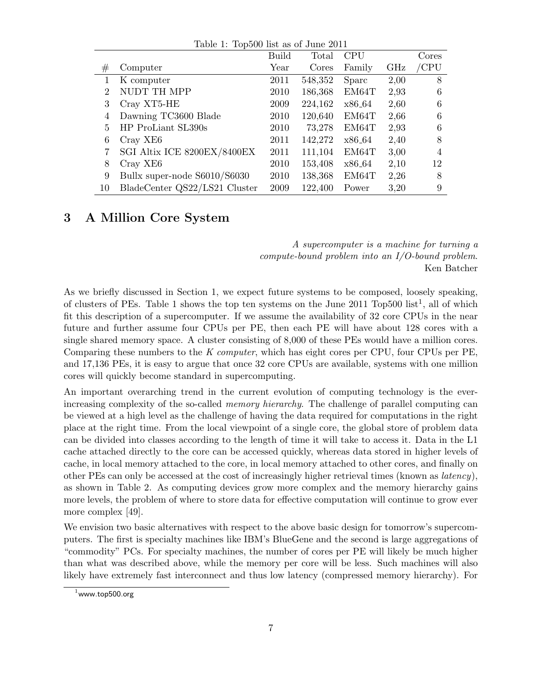|                | $\mu$ and $\mu$ . Topoop has as of sume 2011 | Build | Total   | <b>CPU</b>         |      | Cores |
|----------------|----------------------------------------------|-------|---------|--------------------|------|-------|
| $^{\#}$        | Computer                                     | Year  | Cores   | Family             | GHz  | ′CPU  |
|                | K computer                                   | 2011  | 548,352 | Sparc              | 2,00 | 8     |
| $\overline{2}$ | NUDT TH MPP                                  | 2010  | 186,368 | EM64T              | 2,93 | 6     |
| 3              | Cray XT5-HE                                  | 2009  | 224,162 | x86_64             | 2,60 | 6     |
| 4              | Dawning TC3600 Blade                         | 2010  | 120,640 | EM64T              | 2,66 | 6     |
| 5              | HP ProLiant SL390s                           | 2010  | 73,278  | EM64T              | 2,93 | 6     |
| 6              | Cray XE <sub>6</sub>                         | 2011  | 142,272 | x86 <sub>-64</sub> | 2,40 | 8     |
| 7              | SGI Altix ICE 8200EX/8400EX                  | 2011  | 111,104 | EM64T              | 3,00 | 4     |
| 8              | Cray XE6                                     | 2010  | 153,408 | x86 <sub>-64</sub> | 2,10 | 12    |
| 9              | Bullx super-node S6010/S6030                 | 2010  | 138,368 | EM64T              | 2,26 | 8     |
| 10             | BladeCenter QS22/LS21 Cluster                | 2009  | 122,400 | Power              | 3,20 | 9     |

Table 1: Top500 list as of June 2011

## 3 A Million Core System

A supercomputer is a machine for turning a compute-bound problem into an I/O-bound problem. Ken Batcher

As we briefly discussed in Section 1, we expect future systems to be composed, loosely speaking, of clusters of PEs. Table 1 shows the top ten systems on the June  $2011$  Top500 list<sup>1</sup>, all of which fit this description of a supercomputer. If we assume the availability of 32 core CPUs in the near future and further assume four CPUs per PE, then each PE will have about 128 cores with a single shared memory space. A cluster consisting of 8,000 of these PEs would have a million cores. Comparing these numbers to the K computer, which has eight cores per CPU, four CPUs per PE, and 17,136 PEs, it is easy to argue that once 32 core CPUs are available, systems with one million cores will quickly become standard in supercomputing.

An important overarching trend in the current evolution of computing technology is the everincreasing complexity of the so-called *memory hierarchy*. The challenge of parallel computing can be viewed at a high level as the challenge of having the data required for computations in the right place at the right time. From the local viewpoint of a single core, the global store of problem data can be divided into classes according to the length of time it will take to access it. Data in the L1 cache attached directly to the core can be accessed quickly, whereas data stored in higher levels of cache, in local memory attached to the core, in local memory attached to other cores, and finally on other PEs can only be accessed at the cost of increasingly higher retrieval times (known as latency), as shown in Table 2. As computing devices grow more complex and the memory hierarchy gains more levels, the problem of where to store data for effective computation will continue to grow ever more complex [49].

We envision two basic alternatives with respect to the above basic design for tomorrow's supercomputers. The first is specialty machines like IBM's BlueGene and the second is large aggregations of "commodity" PCs. For specialty machines, the number of cores per PE will likely be much higher than what was described above, while the memory per core will be less. Such machines will also likely have extremely fast interconnect and thus low latency (compressed memory hierarchy). For

 $1$ www.top500.org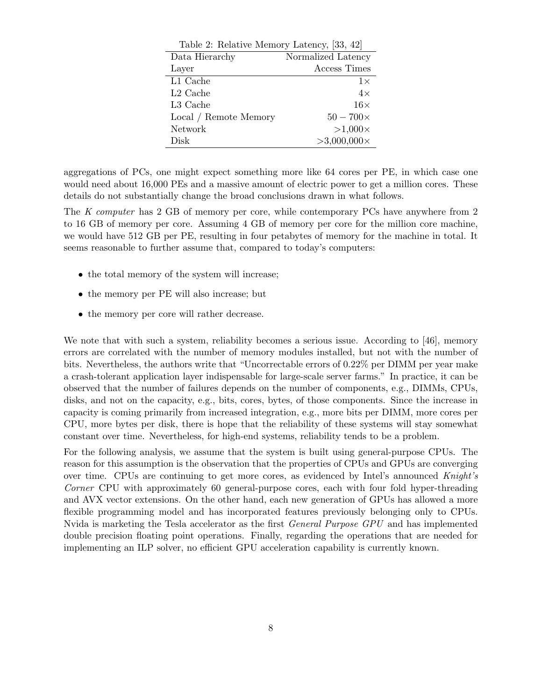| Table 2: Relative Memory Latency, [33, 42] |                    |  |  |  |
|--------------------------------------------|--------------------|--|--|--|
| Data Hierarchy                             | Normalized Latency |  |  |  |
| Layer                                      | Access Times       |  |  |  |
| L1 Cache                                   | $1\times$          |  |  |  |
| L <sub>2</sub> Cache                       | $4\times$          |  |  |  |
| L3 Cache                                   | $16\times$         |  |  |  |
| Local / Remote Memory                      | $50 - 700 \times$  |  |  |  |
| Network                                    | $>1,000\times$     |  |  |  |
| Disk                                       | $>3,000,000\times$ |  |  |  |

aggregations of PCs, one might expect something more like 64 cores per PE, in which case one would need about 16,000 PEs and a massive amount of electric power to get a million cores. These details do not substantially change the broad conclusions drawn in what follows.

The K computer has 2 GB of memory per core, while contemporary PCs have anywhere from 2 to 16 GB of memory per core. Assuming 4 GB of memory per core for the million core machine, we would have 512 GB per PE, resulting in four petabytes of memory for the machine in total. It seems reasonable to further assume that, compared to today's computers:

- the total memory of the system will increase;
- the memory per PE will also increase; but
- the memory per core will rather decrease.

We note that with such a system, reliability becomes a serious issue. According to [46], memory errors are correlated with the number of memory modules installed, but not with the number of bits. Nevertheless, the authors write that "Uncorrectable errors of 0.22% per DIMM per year make a crash-tolerant application layer indispensable for large-scale server farms." In practice, it can be observed that the number of failures depends on the number of components, e.g., DIMMs, CPUs, disks, and not on the capacity, e.g., bits, cores, bytes, of those components. Since the increase in capacity is coming primarily from increased integration, e.g., more bits per DIMM, more cores per CPU, more bytes per disk, there is hope that the reliability of these systems will stay somewhat constant over time. Nevertheless, for high-end systems, reliability tends to be a problem.

For the following analysis, we assume that the system is built using general-purpose CPUs. The reason for this assumption is the observation that the properties of CPUs and GPUs are converging over time. CPUs are continuing to get more cores, as evidenced by Intel's announced Knight's Corner CPU with approximately 60 general-purpose cores, each with four fold hyper-threading and AVX vector extensions. On the other hand, each new generation of GPUs has allowed a more flexible programming model and has incorporated features previously belonging only to CPUs. Nvida is marketing the Tesla accelerator as the first General Purpose GPU and has implemented double precision floating point operations. Finally, regarding the operations that are needed for implementing an ILP solver, no efficient GPU acceleration capability is currently known.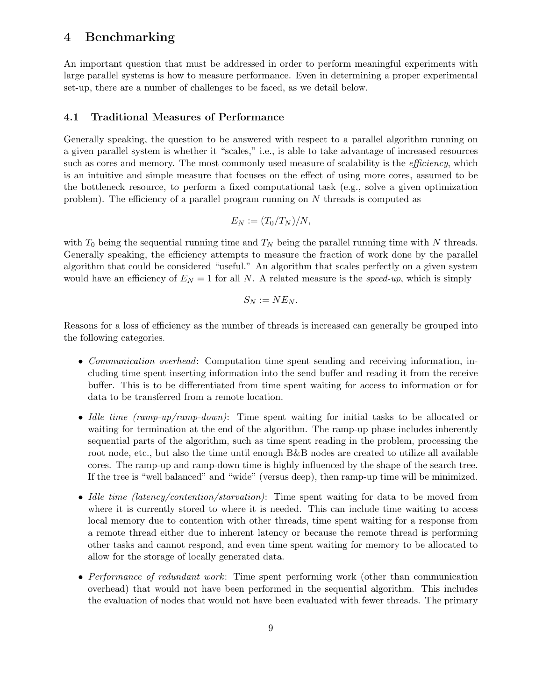## 4 Benchmarking

An important question that must be addressed in order to perform meaningful experiments with large parallel systems is how to measure performance. Even in determining a proper experimental set-up, there are a number of challenges to be faced, as we detail below.

#### 4.1 Traditional Measures of Performance

Generally speaking, the question to be answered with respect to a parallel algorithm running on a given parallel system is whether it "scales," i.e., is able to take advantage of increased resources such as cores and memory. The most commonly used measure of scalability is the *efficiency*, which is an intuitive and simple measure that focuses on the effect of using more cores, assumed to be the bottleneck resource, to perform a fixed computational task (e.g., solve a given optimization problem). The efficiency of a parallel program running on N threads is computed as

$$
E_N := (T_0/T_N)/N,
$$

with  $T_0$  being the sequential running time and  $T_N$  being the parallel running time with N threads. Generally speaking, the efficiency attempts to measure the fraction of work done by the parallel algorithm that could be considered "useful." An algorithm that scales perfectly on a given system would have an efficiency of  $E<sub>N</sub> = 1$  for all N. A related measure is the speed-up, which is simply

$$
S_N:=NE_N.
$$

Reasons for a loss of efficiency as the number of threads is increased can generally be grouped into the following categories.

- *Communication overhead:* Computation time spent sending and receiving information, including time spent inserting information into the send buffer and reading it from the receive buffer. This is to be differentiated from time spent waiting for access to information or for data to be transferred from a remote location.
- Idle time (ramp-up/ramp-down): Time spent waiting for initial tasks to be allocated or waiting for termination at the end of the algorithm. The ramp-up phase includes inherently sequential parts of the algorithm, such as time spent reading in the problem, processing the root node, etc., but also the time until enough B&B nodes are created to utilize all available cores. The ramp-up and ramp-down time is highly influenced by the shape of the search tree. If the tree is "well balanced" and "wide" (versus deep), then ramp-up time will be minimized.
- Idle time (latency/contention/starvation): Time spent waiting for data to be moved from where it is currently stored to where it is needed. This can include time waiting to access local memory due to contention with other threads, time spent waiting for a response from a remote thread either due to inherent latency or because the remote thread is performing other tasks and cannot respond, and even time spent waiting for memory to be allocated to allow for the storage of locally generated data.
- Performance of redundant work: Time spent performing work (other than communication overhead) that would not have been performed in the sequential algorithm. This includes the evaluation of nodes that would not have been evaluated with fewer threads. The primary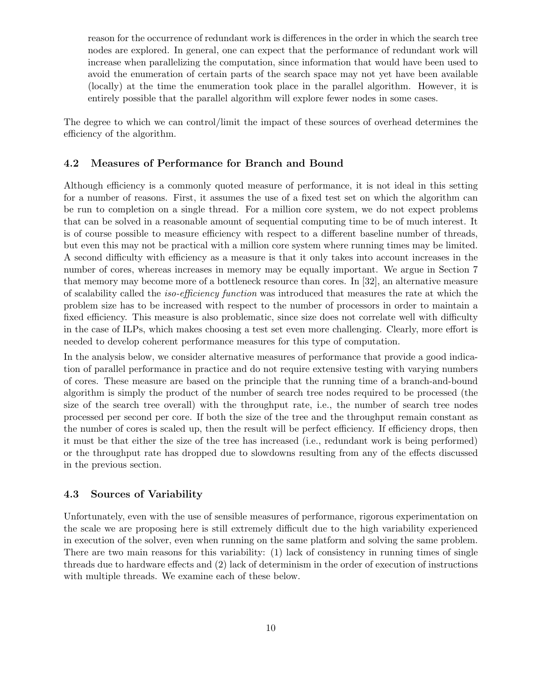reason for the occurrence of redundant work is differences in the order in which the search tree nodes are explored. In general, one can expect that the performance of redundant work will increase when parallelizing the computation, since information that would have been used to avoid the enumeration of certain parts of the search space may not yet have been available (locally) at the time the enumeration took place in the parallel algorithm. However, it is entirely possible that the parallel algorithm will explore fewer nodes in some cases.

The degree to which we can control/limit the impact of these sources of overhead determines the efficiency of the algorithm.

#### 4.2 Measures of Performance for Branch and Bound

Although efficiency is a commonly quoted measure of performance, it is not ideal in this setting for a number of reasons. First, it assumes the use of a fixed test set on which the algorithm can be run to completion on a single thread. For a million core system, we do not expect problems that can be solved in a reasonable amount of sequential computing time to be of much interest. It is of course possible to measure efficiency with respect to a different baseline number of threads, but even this may not be practical with a million core system where running times may be limited. A second difficulty with efficiency as a measure is that it only takes into account increases in the number of cores, whereas increases in memory may be equally important. We argue in Section 7 that memory may become more of a bottleneck resource than cores. In [32], an alternative measure of scalability called the iso-efficiency function was introduced that measures the rate at which the problem size has to be increased with respect to the number of processors in order to maintain a fixed efficiency. This measure is also problematic, since size does not correlate well with difficulty in the case of ILPs, which makes choosing a test set even more challenging. Clearly, more effort is needed to develop coherent performance measures for this type of computation.

In the analysis below, we consider alternative measures of performance that provide a good indication of parallel performance in practice and do not require extensive testing with varying numbers of cores. These measure are based on the principle that the running time of a branch-and-bound algorithm is simply the product of the number of search tree nodes required to be processed (the size of the search tree overall) with the throughput rate, i.e., the number of search tree nodes processed per second per core. If both the size of the tree and the throughput remain constant as the number of cores is scaled up, then the result will be perfect efficiency. If efficiency drops, then it must be that either the size of the tree has increased (i.e., redundant work is being performed) or the throughput rate has dropped due to slowdowns resulting from any of the effects discussed in the previous section.

#### 4.3 Sources of Variability

Unfortunately, even with the use of sensible measures of performance, rigorous experimentation on the scale we are proposing here is still extremely difficult due to the high variability experienced in execution of the solver, even when running on the same platform and solving the same problem. There are two main reasons for this variability: (1) lack of consistency in running times of single threads due to hardware effects and (2) lack of determinism in the order of execution of instructions with multiple threads. We examine each of these below.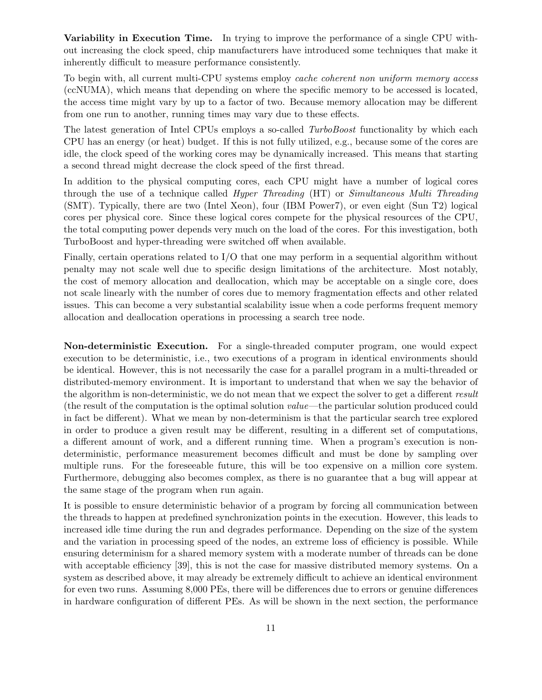Variability in Execution Time. In trying to improve the performance of a single CPU without increasing the clock speed, chip manufacturers have introduced some techniques that make it inherently difficult to measure performance consistently.

To begin with, all current multi-CPU systems employ cache coherent non uniform memory access (ccNUMA), which means that depending on where the specific memory to be accessed is located, the access time might vary by up to a factor of two. Because memory allocation may be different from one run to another, running times may vary due to these effects.

The latest generation of Intel CPUs employs a so-called *TurboBoost* functionality by which each CPU has an energy (or heat) budget. If this is not fully utilized, e.g., because some of the cores are idle, the clock speed of the working cores may be dynamically increased. This means that starting a second thread might decrease the clock speed of the first thread.

In addition to the physical computing cores, each CPU might have a number of logical cores through the use of a technique called Hyper Threading (HT) or Simultaneous Multi Threading (SMT). Typically, there are two (Intel Xeon), four (IBM Power7), or even eight (Sun T2) logical cores per physical core. Since these logical cores compete for the physical resources of the CPU, the total computing power depends very much on the load of the cores. For this investigation, both TurboBoost and hyper-threading were switched off when available.

Finally, certain operations related to I/O that one may perform in a sequential algorithm without penalty may not scale well due to specific design limitations of the architecture. Most notably, the cost of memory allocation and deallocation, which may be acceptable on a single core, does not scale linearly with the number of cores due to memory fragmentation effects and other related issues. This can become a very substantial scalability issue when a code performs frequent memory allocation and deallocation operations in processing a search tree node.

Non-deterministic Execution. For a single-threaded computer program, one would expect execution to be deterministic, i.e., two executions of a program in identical environments should be identical. However, this is not necessarily the case for a parallel program in a multi-threaded or distributed-memory environment. It is important to understand that when we say the behavior of the algorithm is non-deterministic, we do not mean that we expect the solver to get a different result (the result of the computation is the optimal solution value—the particular solution produced could in fact be different). What we mean by non-determinism is that the particular search tree explored in order to produce a given result may be different, resulting in a different set of computations, a different amount of work, and a different running time. When a program's execution is nondeterministic, performance measurement becomes difficult and must be done by sampling over multiple runs. For the foreseeable future, this will be too expensive on a million core system. Furthermore, debugging also becomes complex, as there is no guarantee that a bug will appear at the same stage of the program when run again.

It is possible to ensure deterministic behavior of a program by forcing all communication between the threads to happen at predefined synchronization points in the execution. However, this leads to increased idle time during the run and degrades performance. Depending on the size of the system and the variation in processing speed of the nodes, an extreme loss of efficiency is possible. While ensuring determinism for a shared memory system with a moderate number of threads can be done with acceptable efficiency [39], this is not the case for massive distributed memory systems. On a system as described above, it may already be extremely difficult to achieve an identical environment for even two runs. Assuming 8,000 PEs, there will be differences due to errors or genuine differences in hardware configuration of different PEs. As will be shown in the next section, the performance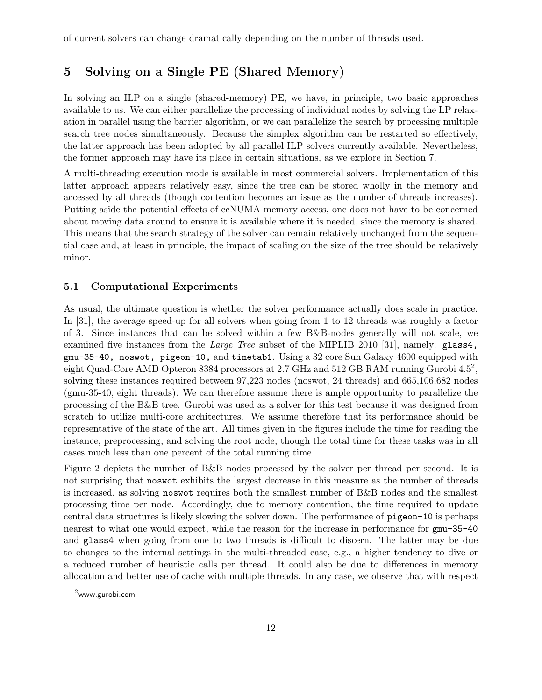of current solvers can change dramatically depending on the number of threads used.

# 5 Solving on a Single PE (Shared Memory)

In solving an ILP on a single (shared-memory) PE, we have, in principle, two basic approaches available to us. We can either parallelize the processing of individual nodes by solving the LP relaxation in parallel using the barrier algorithm, or we can parallelize the search by processing multiple search tree nodes simultaneously. Because the simplex algorithm can be restarted so effectively, the latter approach has been adopted by all parallel ILP solvers currently available. Nevertheless, the former approach may have its place in certain situations, as we explore in Section 7.

A multi-threading execution mode is available in most commercial solvers. Implementation of this latter approach appears relatively easy, since the tree can be stored wholly in the memory and accessed by all threads (though contention becomes an issue as the number of threads increases). Putting aside the potential effects of ccNUMA memory access, one does not have to be concerned about moving data around to ensure it is available where it is needed, since the memory is shared. This means that the search strategy of the solver can remain relatively unchanged from the sequential case and, at least in principle, the impact of scaling on the size of the tree should be relatively minor.

### 5.1 Computational Experiments

As usual, the ultimate question is whether the solver performance actually does scale in practice. In [31], the average speed-up for all solvers when going from 1 to 12 threads was roughly a factor of 3. Since instances that can be solved within a few B&B-nodes generally will not scale, we examined five instances from the *Large Tree* subset of the MIPLIB 2010 [31], namely: glass4, gmu-35-40, noswot, pigeon-10, and timetab1. Using a 32 core Sun Galaxy 4600 equipped with eight Quad-Core AMD Opteron 8384 processors at 2.7 GHz and 512 GB RAM running Gurobi 4.5<sup>2</sup>, solving these instances required between 97,223 nodes (noswot, 24 threads) and 665,106,682 nodes (gmu-35-40, eight threads). We can therefore assume there is ample opportunity to parallelize the processing of the B&B tree. Gurobi was used as a solver for this test because it was designed from scratch to utilize multi-core architectures. We assume therefore that its performance should be representative of the state of the art. All times given in the figures include the time for reading the instance, preprocessing, and solving the root node, though the total time for these tasks was in all cases much less than one percent of the total running time.

Figure 2 depicts the number of B&B nodes processed by the solver per thread per second. It is not surprising that noswot exhibits the largest decrease in this measure as the number of threads is increased, as solving noswot requires both the smallest number of B&B nodes and the smallest processing time per node. Accordingly, due to memory contention, the time required to update central data structures is likely slowing the solver down. The performance of pigeon-10 is perhaps nearest to what one would expect, while the reason for the increase in performance for gmu-35-40 and glass4 when going from one to two threads is difficult to discern. The latter may be due to changes to the internal settings in the multi-threaded case, e.g., a higher tendency to dive or a reduced number of heuristic calls per thread. It could also be due to differences in memory allocation and better use of cache with multiple threads. In any case, we observe that with respect

 $^{2}$ www.gurobi.com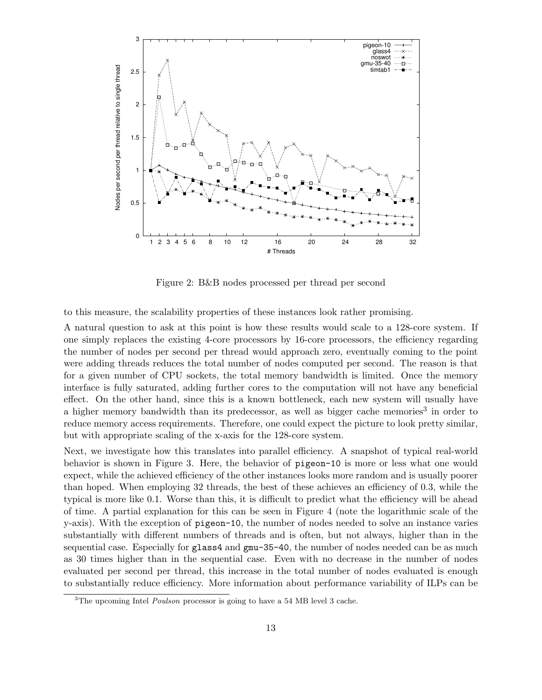

Figure 2: B&B nodes processed per thread per second

to this measure, the scalability properties of these instances look rather promising.

A natural question to ask at this point is how these results would scale to a 128-core system. If one simply replaces the existing 4-core processors by 16-core processors, the efficiency regarding the number of nodes per second per thread would approach zero, eventually coming to the point were adding threads reduces the total number of nodes computed per second. The reason is that for a given number of CPU sockets, the total memory bandwidth is limited. Once the memory interface is fully saturated, adding further cores to the computation will not have any beneficial effect. On the other hand, since this is a known bottleneck, each new system will usually have a higher memory bandwidth than its predecessor, as well as bigger cache memories<sup>3</sup> in order to reduce memory access requirements. Therefore, one could expect the picture to look pretty similar, but with appropriate scaling of the x-axis for the 128-core system.

Next, we investigate how this translates into parallel efficiency. A snapshot of typical real-world behavior is shown in Figure 3. Here, the behavior of pigeon-10 is more or less what one would expect, while the achieved efficiency of the other instances looks more random and is usually poorer than hoped. When employing 32 threads, the best of these achieves an efficiency of 0.3, while the typical is more like 0.1. Worse than this, it is difficult to predict what the efficiency will be ahead of time. A partial explanation for this can be seen in Figure 4 (note the logarithmic scale of the y-axis). With the exception of pigeon-10, the number of nodes needed to solve an instance varies substantially with different numbers of threads and is often, but not always, higher than in the sequential case. Especially for glass4 and gmu-35-40, the number of nodes needed can be as much as 30 times higher than in the sequential case. Even with no decrease in the number of nodes evaluated per second per thread, this increase in the total number of nodes evaluated is enough to substantially reduce efficiency. More information about performance variability of ILPs can be

<sup>&</sup>lt;sup>3</sup>The upcoming Intel *Poulson* processor is going to have a 54 MB level 3 cache.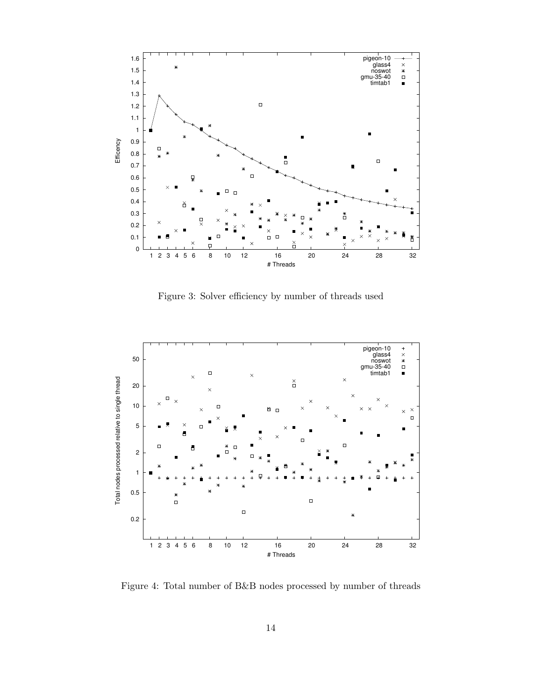

Figure 3: Solver efficiency by number of threads used



Figure 4: Total number of B&B nodes processed by number of threads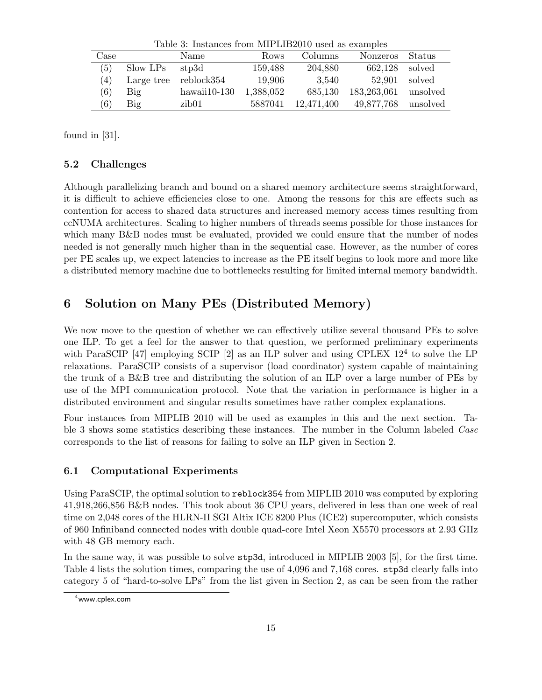| Table 3: Instances from MIPLIB2010 used as examples |            |                 |           |            |                 |          |
|-----------------------------------------------------|------------|-----------------|-----------|------------|-----------------|----------|
| Case                                                |            | Name            | Rows      | Columns    | <b>Nonzeros</b> | Status   |
| (5)                                                 | Slow LPs   | stp3d           | 159,488   | 204,880    | 662,128         | solved   |
| (4)                                                 | Large tree | reblock354      | 19,906    | 3,540      | 52,901          | solved   |
| (6)                                                 | Big        | hawaii $10-130$ | 1,388,052 | 685,130    | 183,263,061     | unsolved |
| (6)                                                 | Big        | zib01           | 5887041   | 12,471,400 | 49,877,768      | unsolved |

 $\frac{1}{2}$   $\frac{1}{2}$   $\frac{1}{2}$   $\frac{1}{2}$   $\frac{1}{2}$   $\frac{1}{2}$   $\frac{1}{2}$   $\frac{1}{2}$   $\frac{1}{2}$   $\frac{1}{2}$   $\frac{1}{2}$   $\frac{1}{2}$   $\frac{1}{2}$   $\frac{1}{2}$   $\frac{1}{2}$   $\frac{1}{2}$   $\frac{1}{2}$   $\frac{1}{2}$   $\frac{1}{2}$   $\frac{1}{2}$   $\frac{1}{2}$   $\frac{1}{2}$ 

found in [31].

#### 5.2 Challenges

Although parallelizing branch and bound on a shared memory architecture seems straightforward, it is difficult to achieve efficiencies close to one. Among the reasons for this are effects such as contention for access to shared data structures and increased memory access times resulting from ccNUMA architectures. Scaling to higher numbers of threads seems possible for those instances for which many B&B nodes must be evaluated, provided we could ensure that the number of nodes needed is not generally much higher than in the sequential case. However, as the number of cores per PE scales up, we expect latencies to increase as the PE itself begins to look more and more like a distributed memory machine due to bottlenecks resulting for limited internal memory bandwidth.

## 6 Solution on Many PEs (Distributed Memory)

We now move to the question of whether we can effectively utilize several thousand PEs to solve one ILP. To get a feel for the answer to that question, we performed preliminary experiments with ParaSCIP [47] employing SCIP [2] as an ILP solver and using CPLEX  $12^4$  to solve the LP relaxations. ParaSCIP consists of a supervisor (load coordinator) system capable of maintaining the trunk of a B&B tree and distributing the solution of an ILP over a large number of PEs by use of the MPI communication protocol. Note that the variation in performance is higher in a distributed environment and singular results sometimes have rather complex explanations.

Four instances from MIPLIB 2010 will be used as examples in this and the next section. Table 3 shows some statistics describing these instances. The number in the Column labeled Case corresponds to the list of reasons for failing to solve an ILP given in Section 2.

#### 6.1 Computational Experiments

Using ParaSCIP, the optimal solution to reblock354 from MIPLIB 2010 was computed by exploring 41,918,266,856 B&B nodes. This took about 36 CPU years, delivered in less than one week of real time on 2,048 cores of the HLRN-II SGI Altix ICE 8200 Plus (ICE2) supercomputer, which consists of 960 Infiniband connected nodes with double quad-core Intel Xeon X5570 processors at 2.93 GHz with 48 GB memory each.

In the same way, it was possible to solve stp3d, introduced in MIPLIB 2003 [5], for the first time. Table 4 lists the solution times, comparing the use of 4,096 and 7,168 cores. stp3d clearly falls into category 5 of "hard-to-solve LPs" from the list given in Section 2, as can be seen from the rather

<sup>4</sup>www.cplex.com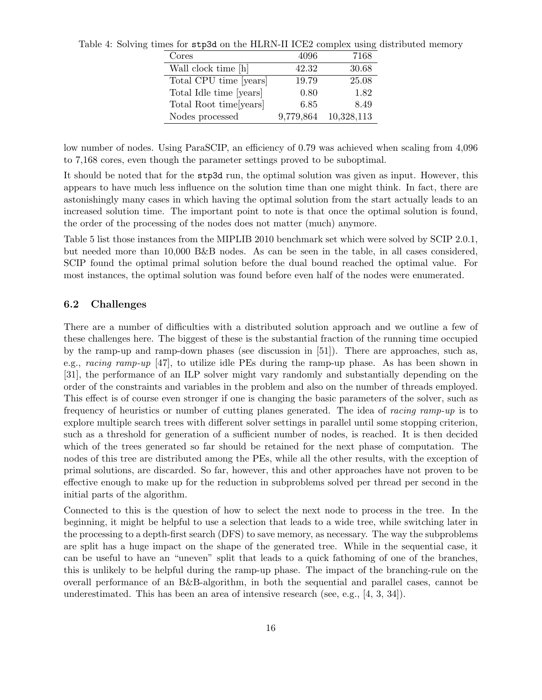| Cores                   | 4096      | 7168       |
|-------------------------|-----------|------------|
| Wall clock time [h]     | 42.32     | 30.68      |
| Total CPU time [years]  | 19.79     | 25.08      |
| Total Idle time [years] | 0.80      | 1.82       |
| Total Root time[years]  | 6.85      | 8.49       |
| Nodes processed         | 9,779,864 | 10,328,113 |

Table 4: Solving times for stp3d on the HLRN-II ICE2 complex using distributed memory

low number of nodes. Using ParaSCIP, an efficiency of 0.79 was achieved when scaling from 4,096 to 7,168 cores, even though the parameter settings proved to be suboptimal.

It should be noted that for the stp3d run, the optimal solution was given as input. However, this appears to have much less influence on the solution time than one might think. In fact, there are astonishingly many cases in which having the optimal solution from the start actually leads to an increased solution time. The important point to note is that once the optimal solution is found, the order of the processing of the nodes does not matter (much) anymore.

Table 5 list those instances from the MIPLIB 2010 benchmark set which were solved by SCIP 2.0.1, but needed more than 10,000 B&B nodes. As can be seen in the table, in all cases considered, SCIP found the optimal primal solution before the dual bound reached the optimal value. For most instances, the optimal solution was found before even half of the nodes were enumerated.

#### 6.2 Challenges

There are a number of difficulties with a distributed solution approach and we outline a few of these challenges here. The biggest of these is the substantial fraction of the running time occupied by the ramp-up and ramp-down phases (see discussion in [51]). There are approaches, such as, e.g., racing ramp-up [47], to utilize idle PEs during the ramp-up phase. As has been shown in [31], the performance of an ILP solver might vary randomly and substantially depending on the order of the constraints and variables in the problem and also on the number of threads employed. This effect is of course even stronger if one is changing the basic parameters of the solver, such as frequency of heuristics or number of cutting planes generated. The idea of racing ramp-up is to explore multiple search trees with different solver settings in parallel until some stopping criterion, such as a threshold for generation of a sufficient number of nodes, is reached. It is then decided which of the trees generated so far should be retained for the next phase of computation. The nodes of this tree are distributed among the PEs, while all the other results, with the exception of primal solutions, are discarded. So far, however, this and other approaches have not proven to be effective enough to make up for the reduction in subproblems solved per thread per second in the initial parts of the algorithm.

Connected to this is the question of how to select the next node to process in the tree. In the beginning, it might be helpful to use a selection that leads to a wide tree, while switching later in the processing to a depth-first search (DFS) to save memory, as necessary. The way the subproblems are split has a huge impact on the shape of the generated tree. While in the sequential case, it can be useful to have an "uneven" split that leads to a quick fathoming of one of the branches, this is unlikely to be helpful during the ramp-up phase. The impact of the branching-rule on the overall performance of an B&B-algorithm, in both the sequential and parallel cases, cannot be underestimated. This has been an area of intensive research (see, e.g., [4, 3, 34]).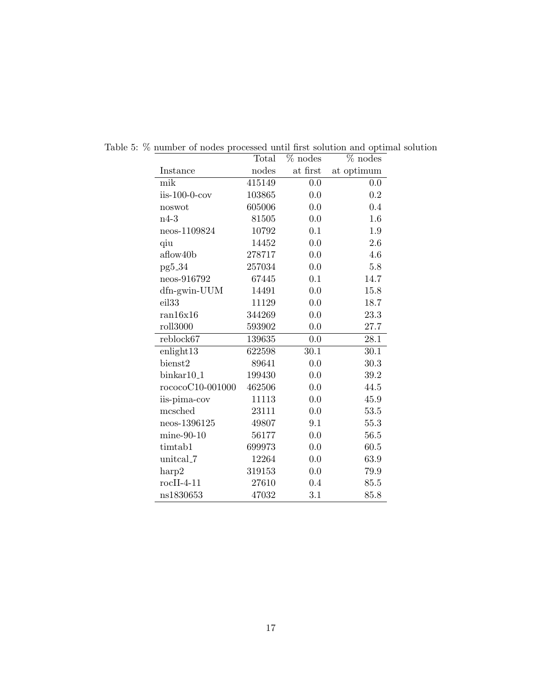|                        | Total  | $%$ nodes | $\%$ nodes |
|------------------------|--------|-----------|------------|
| Instance               | nodes  | at first  | at optimum |
| mik                    | 415149 | 0.0       | 0.0        |
| $i$ is-100-0- $cov$    | 103865 | 0.0       | 0.2        |
| noswot                 | 605006 | 0.0       | 0.4        |
| $n4-3$                 | 81505  | 0.0       | 1.6        |
| neos-1109824           | 10792  | 0.1       | 1.9        |
| qiu                    | 14452  | 0.0       | 2.6        |
| aflow40b               | 278717 | 0.0       | 4.6        |
| pg5_34                 | 257034 | 0.0       | 5.8        |
| neos-916792            | 67445  | 0.1       | 14.7       |
| dfn-gwin-UUM           | 14491  | 0.0       | 15.8       |
| eil <sub>33</sub>      | 11129  | 0.0       | 18.7       |
| ran16x16               | 344269 | 0.0       | 23.3       |
| roll3000               | 593902 | 0.0       | 27.7       |
| reblock67              | 139635 | 0.0       | 28.1       |
| enlight13              | 622598 | 30.1      | 30.1       |
| bienst2                | 89641  | 0.0       | 30.3       |
| binkar10 <sub>-1</sub> | 199430 | 0.0       | 39.2       |
| rococoC10-001000       | 462506 | 0.0       | 44.5       |
| iis-pima-cov           | 11113  | 0.0       | 45.9       |
| mcsched                | 23111  | 0.0       | 53.5       |
| neos-1396125           | 49807  | 9.1       | $55.3\,$   |
| $mine-90-10$           | 56177  | 0.0       | 56.5       |
| timtab1                | 699973 | 0.0       | 60.5       |
| unitcal <sub>-7</sub>  | 12264  | 0.0       | 63.9       |
| harp2                  | 319153 | 0.0       | 79.9       |
| $roclI-4-11$           | 27610  | 0.4       | 85.5       |
| ns1830653              | 47032  | 3.1       | 85.8       |

Table 5: % number of nodes processed until first solution and optimal solution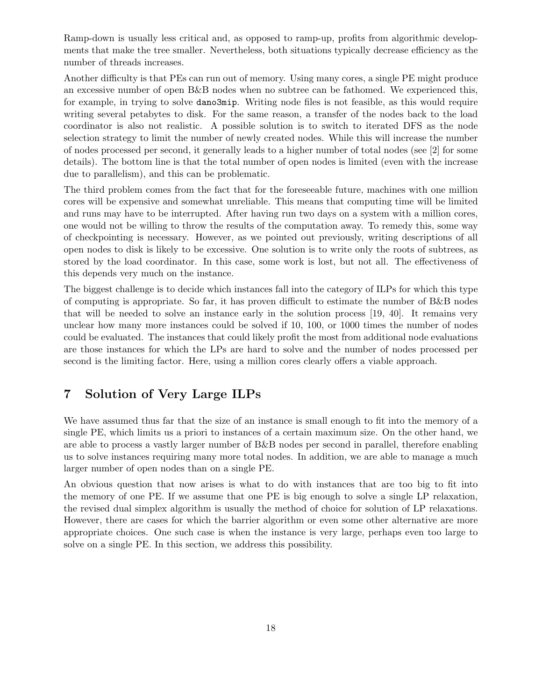Ramp-down is usually less critical and, as opposed to ramp-up, profits from algorithmic developments that make the tree smaller. Nevertheless, both situations typically decrease efficiency as the number of threads increases.

Another difficulty is that PEs can run out of memory. Using many cores, a single PE might produce an excessive number of open B&B nodes when no subtree can be fathomed. We experienced this, for example, in trying to solve dano3mip. Writing node files is not feasible, as this would require writing several petabytes to disk. For the same reason, a transfer of the nodes back to the load coordinator is also not realistic. A possible solution is to switch to iterated DFS as the node selection strategy to limit the number of newly created nodes. While this will increase the number of nodes processed per second, it generally leads to a higher number of total nodes (see [2] for some details). The bottom line is that the total number of open nodes is limited (even with the increase due to parallelism), and this can be problematic.

The third problem comes from the fact that for the foreseeable future, machines with one million cores will be expensive and somewhat unreliable. This means that computing time will be limited and runs may have to be interrupted. After having run two days on a system with a million cores, one would not be willing to throw the results of the computation away. To remedy this, some way of checkpointing is necessary. However, as we pointed out previously, writing descriptions of all open nodes to disk is likely to be excessive. One solution is to write only the roots of subtrees, as stored by the load coordinator. In this case, some work is lost, but not all. The effectiveness of this depends very much on the instance.

The biggest challenge is to decide which instances fall into the category of ILPs for which this type of computing is appropriate. So far, it has proven difficult to estimate the number of B&B nodes that will be needed to solve an instance early in the solution process [19, 40]. It remains very unclear how many more instances could be solved if 10, 100, or 1000 times the number of nodes could be evaluated. The instances that could likely profit the most from additional node evaluations are those instances for which the LPs are hard to solve and the number of nodes processed per second is the limiting factor. Here, using a million cores clearly offers a viable approach.

## 7 Solution of Very Large ILPs

We have assumed thus far that the size of an instance is small enough to fit into the memory of a single PE, which limits us a priori to instances of a certain maximum size. On the other hand, we are able to process a vastly larger number of B&B nodes per second in parallel, therefore enabling us to solve instances requiring many more total nodes. In addition, we are able to manage a much larger number of open nodes than on a single PE.

An obvious question that now arises is what to do with instances that are too big to fit into the memory of one PE. If we assume that one PE is big enough to solve a single LP relaxation, the revised dual simplex algorithm is usually the method of choice for solution of LP relaxations. However, there are cases for which the barrier algorithm or even some other alternative are more appropriate choices. One such case is when the instance is very large, perhaps even too large to solve on a single PE. In this section, we address this possibility.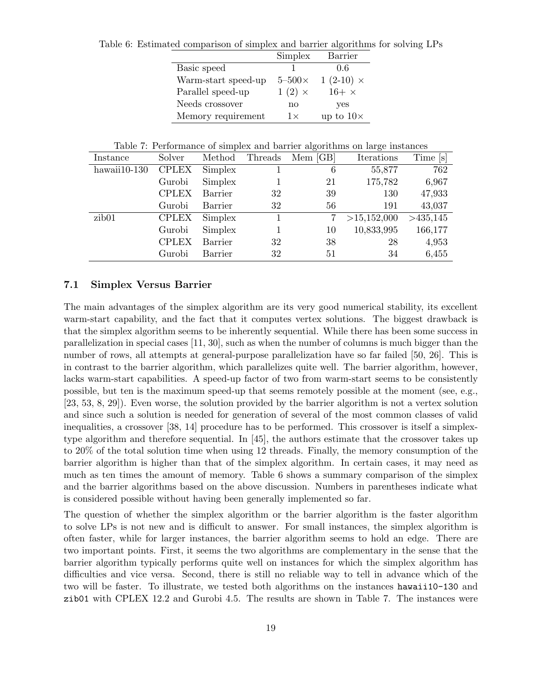Table 6: Estimated comparison of simplex and barrier algorithms for solving LPs

|                     | Simplex       | Barrier           |
|---------------------|---------------|-------------------|
| Basic speed         |               | 0.6               |
| Warm-start speed-up | $5-500\times$ | 1 $(2-10) \times$ |
| Parallel speed-up   | $1(2) \times$ | $16+ \times$      |
| Needs crossover     | no            | yes               |
| Memory requirement  | $1 \times$    | up to $10\times$  |

Table 7: Performance of simplex and barrier algorithms on large instances

| Instance        | Solver       | Method  | Threads | $Mem$ $[GB]$ | Iterations  | Time [s] |
|-----------------|--------------|---------|---------|--------------|-------------|----------|
| hawaii $10-130$ | <b>CPLEX</b> | Simplex |         | 6            | 55,877      | 762      |
|                 | Gurobi       | Simplex |         | 21           | 175,782     | 6,967    |
|                 | <b>CPLEX</b> | Barrier | 32      | 39           | 130         | 47,933   |
|                 | Gurobi       | Barrier | 32      | 56           | 191         | 43,037   |
| zib01           | <b>CPLEX</b> | Simplex |         |              | >15,152,000 | >435,145 |
|                 | Gurobi       | Simplex |         | 10           | 10,833,995  | 166,177  |
|                 | <b>CPLEX</b> | Barrier | 32      | 38           | 28          | 4,953    |
|                 | Gurobi       | Barrier | 32      | 51           | 34          | 6,455    |

#### 7.1 Simplex Versus Barrier

The main advantages of the simplex algorithm are its very good numerical stability, its excellent warm-start capability, and the fact that it computes vertex solutions. The biggest drawback is that the simplex algorithm seems to be inherently sequential. While there has been some success in parallelization in special cases [11, 30], such as when the number of columns is much bigger than the number of rows, all attempts at general-purpose parallelization have so far failed [50, 26]. This is in contrast to the barrier algorithm, which parallelizes quite well. The barrier algorithm, however, lacks warm-start capabilities. A speed-up factor of two from warm-start seems to be consistently possible, but ten is the maximum speed-up that seems remotely possible at the moment (see, e.g., [23, 53, 8, 29]). Even worse, the solution provided by the barrier algorithm is not a vertex solution and since such a solution is needed for generation of several of the most common classes of valid inequalities, a crossover [38, 14] procedure has to be performed. This crossover is itself a simplextype algorithm and therefore sequential. In [45], the authors estimate that the crossover takes up to 20% of the total solution time when using 12 threads. Finally, the memory consumption of the barrier algorithm is higher than that of the simplex algorithm. In certain cases, it may need as much as ten times the amount of memory. Table 6 shows a summary comparison of the simplex and the barrier algorithms based on the above discussion. Numbers in parentheses indicate what is considered possible without having been generally implemented so far.

The question of whether the simplex algorithm or the barrier algorithm is the faster algorithm to solve LPs is not new and is difficult to answer. For small instances, the simplex algorithm is often faster, while for larger instances, the barrier algorithm seems to hold an edge. There are two important points. First, it seems the two algorithms are complementary in the sense that the barrier algorithm typically performs quite well on instances for which the simplex algorithm has difficulties and vice versa. Second, there is still no reliable way to tell in advance which of the two will be faster. To illustrate, we tested both algorithms on the instances hawaii10-130 and zib01 with CPLEX 12.2 and Gurobi 4.5. The results are shown in Table 7. The instances were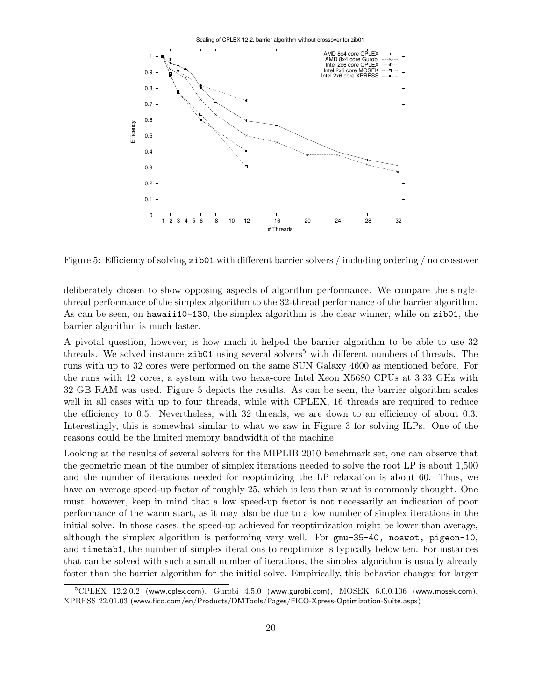Scaling of CPLEX 12.2. barrier algorithm without crossover for zib01



Figure 5: Efficiency of solving zib01 with different barrier solvers / including ordering / no crossover

deliberately chosen to show opposing aspects of algorithm performance. We compare the singlethread performance of the simplex algorithm to the 32-thread performance of the barrier algorithm. As can be seen, on hawaii10-130, the simplex algorithm is the clear winner, while on zib01, the barrier algorithm is much faster.

A pivotal question, however, is how much it helped the barrier algorithm to be able to use 32 threads. We solved instance  $\boldsymbol{z}$  is the several solvers<sup>5</sup> with different numbers of threads. The runs with up to 32 cores were performed on the same SUN Galaxy 4600 as mentioned before. For the runs with 12 cores, a system with two hexa-core Intel Xeon X5680 CPUs at 3.33 GHz with 32 GB RAM was used. Figure 5 depicts the results. As can be seen, the barrier algorithm scales well in all cases with up to four threads, while with CPLEX, 16 threads are required to reduce the efficiency to 0.5. Nevertheless, with 32 threads, we are down to an efficiency of about 0.3. Interestingly, this is somewhat similar to what we saw in Figure 3 for solving ILPs. One of the reasons could be the limited memory bandwidth of the machine.

Looking at the results of several solvers for the MIPLIB 2010 benchmark set, one can observe that the geometric mean of the number of simplex iterations needed to solve the root LP is about 1,500 and the number of iterations needed for reoptimizing the LP relaxation is about 60. Thus, we have an average speed-up factor of roughly 25, which is less than what is commonly thought. One must, however, keep in mind that a low speed-up factor is not necessarily an indication of poor performance of the warm start, as it may also be due to a low number of simplex iterations in the initial solve. In those cases, the speed-up achieved for reoptimization might be lower than average, although the simplex algorithm is performing very well. For gmu-35-40, noswot, pigeon-10, and timetab1, the number of simplex iterations to reoptimize is typically below ten. For instances that can be solved with such a small number of iterations, the simplex algorithm is usually already faster than the barrier algorithm for the initial solve. Empirically, this behavior changes for larger

 $5$ CPLEX 12.2.0.2 (www.cplex.com), Gurobi 4.5.0 (www.gurobi.com), MOSEK 6.0.0.106 (www.mosek.com), XPRESS 22.01.03 (www.fico.com/en/Products/DMTools/Pages/FICO-Xpress-Optimization-Suite.aspx)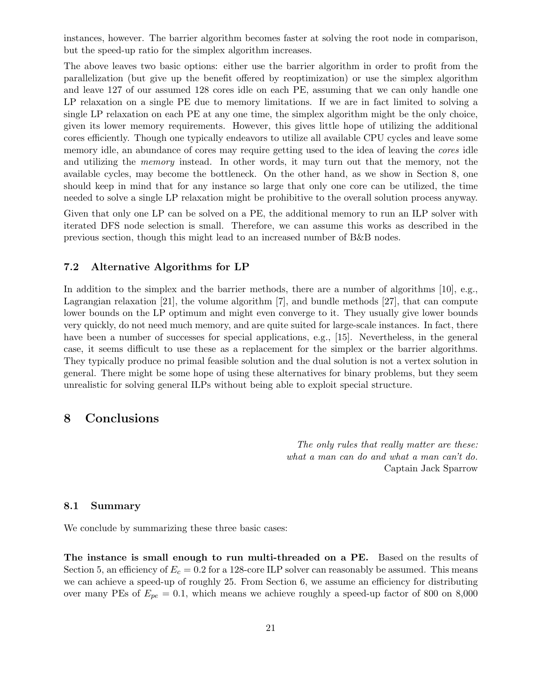instances, however. The barrier algorithm becomes faster at solving the root node in comparison, but the speed-up ratio for the simplex algorithm increases.

The above leaves two basic options: either use the barrier algorithm in order to profit from the parallelization (but give up the benefit offered by reoptimization) or use the simplex algorithm and leave 127 of our assumed 128 cores idle on each PE, assuming that we can only handle one LP relaxation on a single PE due to memory limitations. If we are in fact limited to solving a single LP relaxation on each PE at any one time, the simplex algorithm might be the only choice, given its lower memory requirements. However, this gives little hope of utilizing the additional cores efficiently. Though one typically endeavors to utilize all available CPU cycles and leave some memory idle, an abundance of cores may require getting used to the idea of leaving the cores idle and utilizing the memory instead. In other words, it may turn out that the memory, not the available cycles, may become the bottleneck. On the other hand, as we show in Section 8, one should keep in mind that for any instance so large that only one core can be utilized, the time needed to solve a single LP relaxation might be prohibitive to the overall solution process anyway.

Given that only one LP can be solved on a PE, the additional memory to run an ILP solver with iterated DFS node selection is small. Therefore, we can assume this works as described in the previous section, though this might lead to an increased number of B&B nodes.

#### 7.2 Alternative Algorithms for LP

In addition to the simplex and the barrier methods, there are a number of algorithms [10], e.g., Lagrangian relaxation [21], the volume algorithm [7], and bundle methods [27], that can compute lower bounds on the LP optimum and might even converge to it. They usually give lower bounds very quickly, do not need much memory, and are quite suited for large-scale instances. In fact, there have been a number of successes for special applications, e.g., [15]. Nevertheless, in the general case, it seems difficult to use these as a replacement for the simplex or the barrier algorithms. They typically produce no primal feasible solution and the dual solution is not a vertex solution in general. There might be some hope of using these alternatives for binary problems, but they seem unrealistic for solving general ILPs without being able to exploit special structure.

## 8 Conclusions

The only rules that really matter are these: what a man can do and what a man can't do. Captain Jack Sparrow

#### 8.1 Summary

We conclude by summarizing these three basic cases:

The instance is small enough to run multi-threaded on a PE. Based on the results of Section 5, an efficiency of  $E_c = 0.2$  for a 128-core ILP solver can reasonably be assumed. This means we can achieve a speed-up of roughly 25. From Section 6, we assume an efficiency for distributing over many PEs of  $E_{pe} = 0.1$ , which means we achieve roughly a speed-up factor of 800 on 8,000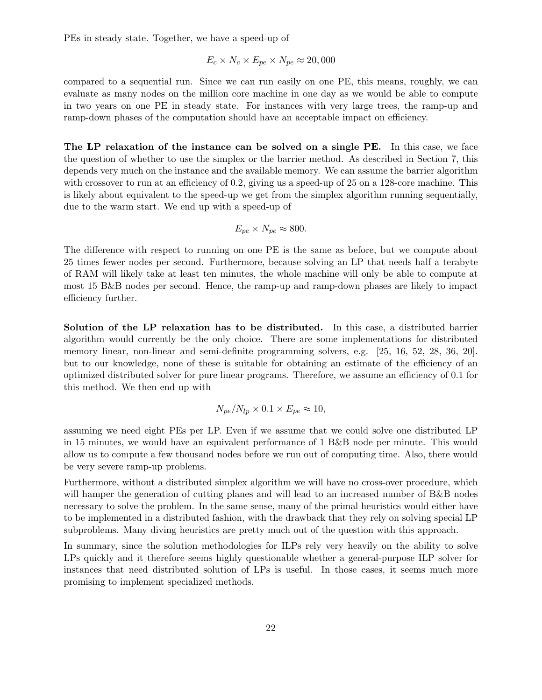PEs in steady state. Together, we have a speed-up of

$$
E_c \times N_c \times E_{pe} \times N_{pe} \approx 20,000
$$

compared to a sequential run. Since we can run easily on one PE, this means, roughly, we can evaluate as many nodes on the million core machine in one day as we would be able to compute in two years on one PE in steady state. For instances with very large trees, the ramp-up and ramp-down phases of the computation should have an acceptable impact on efficiency.

The LP relaxation of the instance can be solved on a single PE. In this case, we face the question of whether to use the simplex or the barrier method. As described in Section 7, this depends very much on the instance and the available memory. We can assume the barrier algorithm with crossover to run at an efficiency of 0.2, giving us a speed-up of 25 on a 128-core machine. This is likely about equivalent to the speed-up we get from the simplex algorithm running sequentially, due to the warm start. We end up with a speed-up of

$$
E_{pe} \times N_{pe} \approx 800.
$$

The difference with respect to running on one PE is the same as before, but we compute about 25 times fewer nodes per second. Furthermore, because solving an LP that needs half a terabyte of RAM will likely take at least ten minutes, the whole machine will only be able to compute at most 15 B&B nodes per second. Hence, the ramp-up and ramp-down phases are likely to impact efficiency further.

Solution of the LP relaxation has to be distributed. In this case, a distributed barrier algorithm would currently be the only choice. There are some implementations for distributed memory linear, non-linear and semi-definite programming solvers, e.g. [25, 16, 52, 28, 36, 20]. but to our knowledge, none of these is suitable for obtaining an estimate of the efficiency of an optimized distributed solver for pure linear programs. Therefore, we assume an efficiency of 0.1 for this method. We then end up with

$$
N_{pe}/N_{lp} \times 0.1 \times E_{pe} \approx 10,
$$

assuming we need eight PEs per LP. Even if we assume that we could solve one distributed LP in 15 minutes, we would have an equivalent performance of 1 B&B node per minute. This would allow us to compute a few thousand nodes before we run out of computing time. Also, there would be very severe ramp-up problems.

Furthermore, without a distributed simplex algorithm we will have no cross-over procedure, which will hamper the generation of cutting planes and will lead to an increased number of B&B nodes necessary to solve the problem. In the same sense, many of the primal heuristics would either have to be implemented in a distributed fashion, with the drawback that they rely on solving special LP subproblems. Many diving heuristics are pretty much out of the question with this approach.

In summary, since the solution methodologies for ILPs rely very heavily on the ability to solve LPs quickly and it therefore seems highly questionable whether a general-purpose ILP solver for instances that need distributed solution of LPs is useful. In those cases, it seems much more promising to implement specialized methods.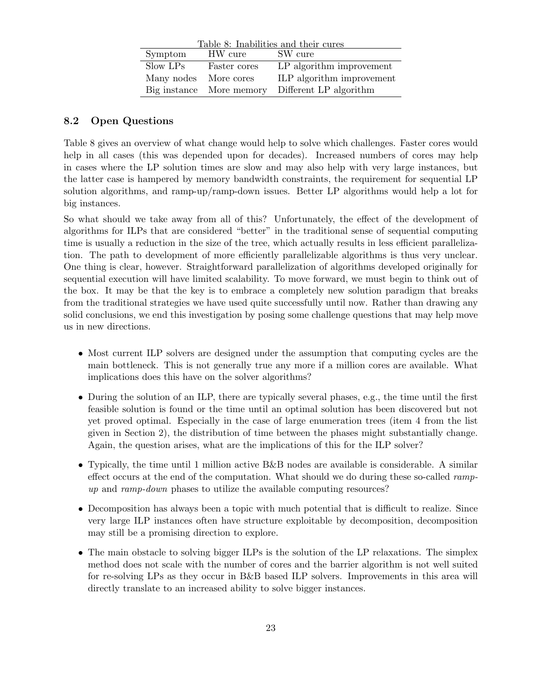| Table 8: Inabilities and their cures |              |                                                 |  |  |  |
|--------------------------------------|--------------|-------------------------------------------------|--|--|--|
| Symptom                              | HW cure      | SW cure                                         |  |  |  |
| Slow LPs                             | Faster cores | LP algorithm improvement                        |  |  |  |
| Many nodes More cores                |              | ILP algorithm improvement                       |  |  |  |
|                                      |              | Big instance More memory Different LP algorithm |  |  |  |

### 8.2 Open Questions

Table 8 gives an overview of what change would help to solve which challenges. Faster cores would help in all cases (this was depended upon for decades). Increased numbers of cores may help in cases where the LP solution times are slow and may also help with very large instances, but the latter case is hampered by memory bandwidth constraints, the requirement for sequential LP solution algorithms, and ramp-up/ramp-down issues. Better LP algorithms would help a lot for big instances.

So what should we take away from all of this? Unfortunately, the effect of the development of algorithms for ILPs that are considered "better" in the traditional sense of sequential computing time is usually a reduction in the size of the tree, which actually results in less efficient parallelization. The path to development of more efficiently parallelizable algorithms is thus very unclear. One thing is clear, however. Straightforward parallelization of algorithms developed originally for sequential execution will have limited scalability. To move forward, we must begin to think out of the box. It may be that the key is to embrace a completely new solution paradigm that breaks from the traditional strategies we have used quite successfully until now. Rather than drawing any solid conclusions, we end this investigation by posing some challenge questions that may help move us in new directions.

- Most current ILP solvers are designed under the assumption that computing cycles are the main bottleneck. This is not generally true any more if a million cores are available. What implications does this have on the solver algorithms?
- During the solution of an ILP, there are typically several phases, e.g., the time until the first feasible solution is found or the time until an optimal solution has been discovered but not yet proved optimal. Especially in the case of large enumeration trees (item 4 from the list given in Section 2), the distribution of time between the phases might substantially change. Again, the question arises, what are the implications of this for the ILP solver?
- Typically, the time until 1 million active B&B nodes are available is considerable. A similar effect occurs at the end of the computation. What should we do during these so-called rampup and ramp-down phases to utilize the available computing resources?
- Decomposition has always been a topic with much potential that is difficult to realize. Since very large ILP instances often have structure exploitable by decomposition, decomposition may still be a promising direction to explore.
- The main obstacle to solving bigger ILPs is the solution of the LP relaxations. The simplex method does not scale with the number of cores and the barrier algorithm is not well suited for re-solving LPs as they occur in B&B based ILP solvers. Improvements in this area will directly translate to an increased ability to solve bigger instances.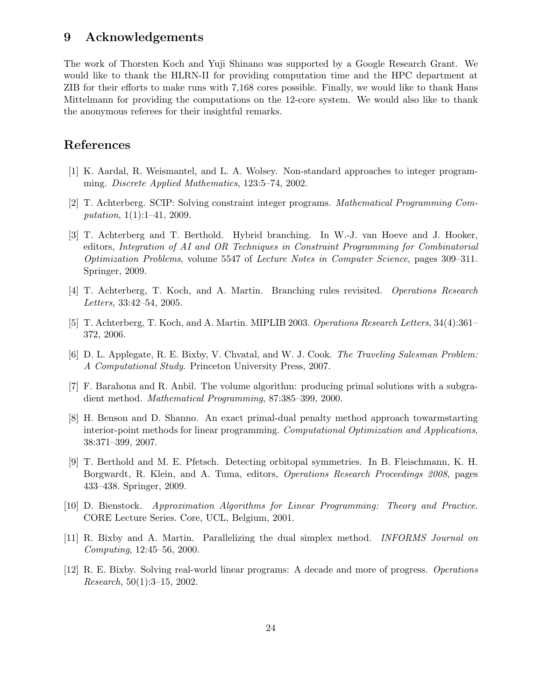## 9 Acknowledgements

The work of Thorsten Koch and Yuji Shinano was supported by a Google Research Grant. We would like to thank the HLRN-II for providing computation time and the HPC department at ZIB for their efforts to make runs with 7,168 cores possible. Finally, we would like to thank Hans Mittelmann for providing the computations on the 12-core system. We would also like to thank the anonymous referees for their insightful remarks.

## References

- [1] K. Aardal, R. Weismantel, and L. A. Wolsey. Non-standard approaches to integer programming. Discrete Applied Mathematics, 123:5–74, 2002.
- [2] T. Achterberg. SCIP: Solving constraint integer programs. Mathematical Programming Computation, 1(1):1–41, 2009.
- [3] T. Achterberg and T. Berthold. Hybrid branching. In W.-J. van Hoeve and J. Hooker, editors, Integration of AI and OR Techniques in Constraint Programming for Combinatorial Optimization Problems, volume 5547 of Lecture Notes in Computer Science, pages 309–311. Springer, 2009.
- [4] T. Achterberg, T. Koch, and A. Martin. Branching rules revisited. Operations Research Letters, 33:42–54, 2005.
- [5] T. Achterberg, T. Koch, and A. Martin. MIPLIB 2003. Operations Research Letters, 34(4):361– 372, 2006.
- [6] D. L. Applegate, R. E. Bixby, V. Chvatal, and W. J. Cook. The Traveling Salesman Problem: A Computational Study. Princeton University Press, 2007.
- [7] F. Barahona and R. Anbil. The volume algorithm: producing primal solutions with a subgradient method. Mathematical Programming, 87:385–399, 2000.
- [8] H. Benson and D. Shanno. An exact primal-dual penalty method approach towarmstarting interior-point methods for linear programming. Computational Optimization and Applications, 38:371–399, 2007.
- [9] T. Berthold and M. E. Pfetsch. Detecting orbitopal symmetries. In B. Fleischmann, K. H. Borgwardt, R. Klein, and A. Tuma, editors, Operations Research Proceedings 2008, pages 433–438. Springer, 2009.
- [10] D. Bienstock. Approximation Algorithms for Linear Programming: Theory and Practice. CORE Lecture Series. Core, UCL, Belgium, 2001.
- [11] R. Bixby and A. Martin. Parallelizing the dual simplex method. INFORMS Journal on Computing, 12:45–56, 2000.
- [12] R. E. Bixby. Solving real-world linear programs: A decade and more of progress. Operations Research, 50(1):3–15, 2002.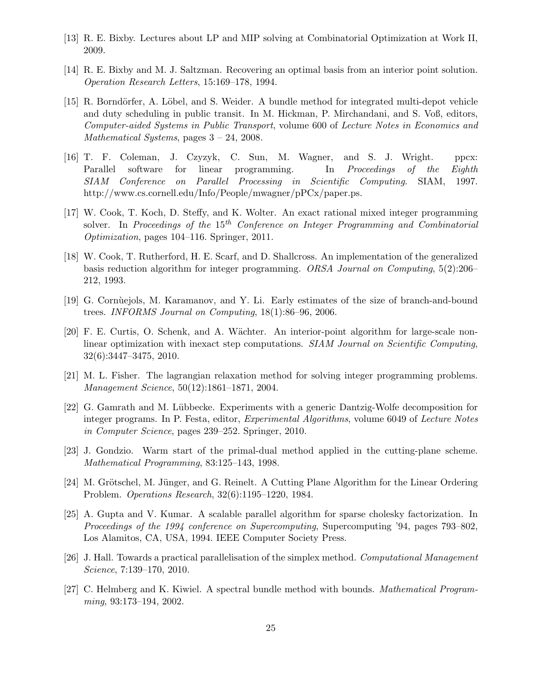- [13] R. E. Bixby. Lectures about LP and MIP solving at Combinatorial Optimization at Work II, 2009.
- [14] R. E. Bixby and M. J. Saltzman. Recovering an optimal basis from an interior point solution. Operation Research Letters, 15:169–178, 1994.
- [15] R. Borndörfer, A. Löbel, and S. Weider. A bundle method for integrated multi-depot vehicle and duty scheduling in public transit. In M. Hickman, P. Mirchandani, and S. Voß, editors, Computer-aided Systems in Public Transport, volume 600 of Lecture Notes in Economics and Mathematical Systems, pages 3 – 24, 2008.
- [16] T. F. Coleman, J. Czyzyk, C. Sun, M. Wagner, and S. J. Wright. ppcx: Parallel software for linear programming. In *Proceedings of the Eighth* SIAM Conference on Parallel Processing in Scientific Computing. SIAM, 1997. http://www.cs.cornell.edu/Info/People/mwagner/pPCx/paper.ps.
- [17] W. Cook, T. Koch, D. Steffy, and K. Wolter. An exact rational mixed integer programming solver. In Proceedings of the  $15<sup>th</sup>$  Conference on Integer Programming and Combinatorial Optimization, pages 104–116. Springer, 2011.
- [18] W. Cook, T. Rutherford, H. E. Scarf, and D. Shallcross. An implementation of the generalized basis reduction algorithm for integer programming. ORSA Journal on Computing, 5(2):206– 212, 1993.
- [19] G. Cornuejols, M. Karamanov, and Y. Li. Early estimates of the size of branch-and-bound trees. INFORMS Journal on Computing, 18(1):86–96, 2006.
- [20] F. E. Curtis, O. Schenk, and A. Wächter. An interior-point algorithm for large-scale nonlinear optimization with inexact step computations. SIAM Journal on Scientific Computing, 32(6):3447–3475, 2010.
- [21] M. L. Fisher. The lagrangian relaxation method for solving integer programming problems. Management Science, 50(12):1861–1871, 2004.
- [22] G. Gamrath and M. Lübbecke. Experiments with a generic Dantzig-Wolfe decomposition for integer programs. In P. Festa, editor, Experimental Algorithms, volume 6049 of Lecture Notes in Computer Science, pages 239–252. Springer, 2010.
- [23] J. Gondzio. Warm start of the primal-dual method applied in the cutting-plane scheme. Mathematical Programming, 83:125–143, 1998.
- [24] M. Grötschel, M. Jünger, and G. Reinelt. A Cutting Plane Algorithm for the Linear Ordering Problem. Operations Research, 32(6):1195–1220, 1984.
- [25] A. Gupta and V. Kumar. A scalable parallel algorithm for sparse cholesky factorization. In Proceedings of the 1994 conference on Supercomputing, Supercomputing '94, pages 793–802, Los Alamitos, CA, USA, 1994. IEEE Computer Society Press.
- [26] J. Hall. Towards a practical parallelisation of the simplex method. Computational Management Science, 7:139–170, 2010.
- [27] C. Helmberg and K. Kiwiel. A spectral bundle method with bounds. Mathematical Programming, 93:173–194, 2002.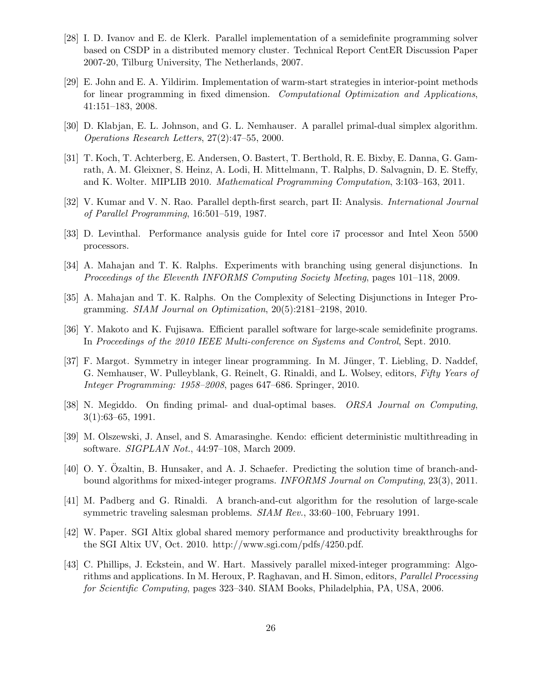- [28] I. D. Ivanov and E. de Klerk. Parallel implementation of a semidefinite programming solver based on CSDP in a distributed memory cluster. Technical Report CentER Discussion Paper 2007-20, Tilburg University, The Netherlands, 2007.
- [29] E. John and E. A. Yildirim. Implementation of warm-start strategies in interior-point methods for linear programming in fixed dimension. Computational Optimization and Applications, 41:151–183, 2008.
- [30] D. Klabjan, E. L. Johnson, and G. L. Nemhauser. A parallel primal-dual simplex algorithm. Operations Research Letters, 27(2):47–55, 2000.
- [31] T. Koch, T. Achterberg, E. Andersen, O. Bastert, T. Berthold, R. E. Bixby, E. Danna, G. Gamrath, A. M. Gleixner, S. Heinz, A. Lodi, H. Mittelmann, T. Ralphs, D. Salvagnin, D. E. Steffy, and K. Wolter. MIPLIB 2010. Mathematical Programming Computation, 3:103–163, 2011.
- [32] V. Kumar and V. N. Rao. Parallel depth-first search, part II: Analysis. International Journal of Parallel Programming, 16:501–519, 1987.
- [33] D. Levinthal. Performance analysis guide for Intel core i7 processor and Intel Xeon 5500 processors.
- [34] A. Mahajan and T. K. Ralphs. Experiments with branching using general disjunctions. In Proceedings of the Eleventh INFORMS Computing Society Meeting, pages 101–118, 2009.
- [35] A. Mahajan and T. K. Ralphs. On the Complexity of Selecting Disjunctions in Integer Programming. SIAM Journal on Optimization, 20(5):2181–2198, 2010.
- [36] Y. Makoto and K. Fujisawa. Efficient parallel software for large-scale semidefinite programs. In Proceedings of the 2010 IEEE Multi-conference on Systems and Control, Sept. 2010.
- [37] F. Margot. Symmetry in integer linear programming. In M. Jünger, T. Liebling, D. Naddef, G. Nemhauser, W. Pulleyblank, G. Reinelt, G. Rinaldi, and L. Wolsey, editors, Fifty Years of Integer Programming: 1958–2008, pages 647–686. Springer, 2010.
- [38] N. Megiddo. On finding primal- and dual-optimal bases. ORSA Journal on Computing, 3(1):63–65, 1991.
- [39] M. Olszewski, J. Ansel, and S. Amarasinghe. Kendo: efficient deterministic multithreading in software. SIGPLAN Not., 44:97–108, March 2009.
- [40] O. Y. Ozaltin, B. Hunsaker, and A. J. Schaefer. Predicting the solution time of branch-andbound algorithms for mixed-integer programs. INFORMS Journal on Computing, 23(3), 2011.
- [41] M. Padberg and G. Rinaldi. A branch-and-cut algorithm for the resolution of large-scale symmetric traveling salesman problems. *SIAM Rev.*, 33:60–100, February 1991.
- [42] W. Paper. SGI Altix global shared memory performance and productivity breakthroughs for the SGI Altix UV, Oct. 2010. http://www.sgi.com/pdfs/4250.pdf.
- [43] C. Phillips, J. Eckstein, and W. Hart. Massively parallel mixed-integer programming: Algorithms and applications. In M. Heroux, P. Raghavan, and H. Simon, editors, Parallel Processing for Scientific Computing, pages 323–340. SIAM Books, Philadelphia, PA, USA, 2006.